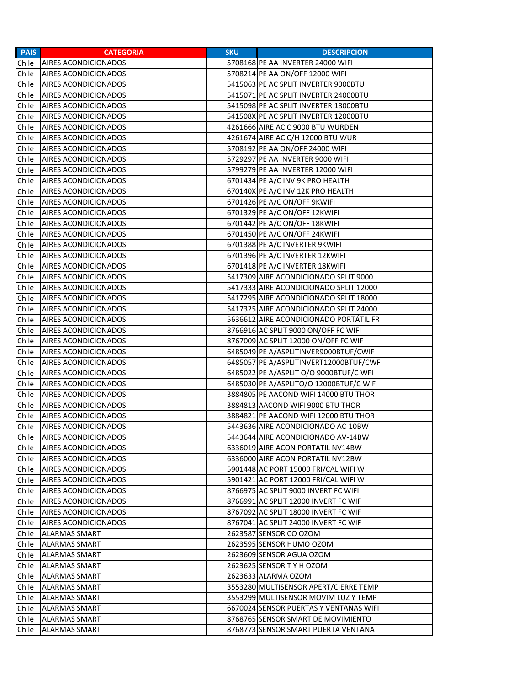| <b>PAIS</b> | <b>CATEGORIA</b>            | <b>SKU</b> | <b>DESCRIPCION</b>                     |
|-------------|-----------------------------|------------|----------------------------------------|
| Chile       | <b>AIRES ACONDICIONADOS</b> |            | 5708168 PE AA INVERTER 24000 WIFI      |
| Chile       | AIRES ACONDICIONADOS        |            | 5708214 PE AA ON/OFF 12000 WIFI        |
| Chile       | AIRES ACONDICIONADOS        |            | 5415063 PE AC SPLIT INVERTER 9000BTU   |
| Chile       | AIRES ACONDICIONADOS        |            | 5415071 PE AC SPLIT INVERTER 24000BTU  |
| Chile       | AIRES ACONDICIONADOS        |            | 5415098 PE AC SPLIT INVERTER 18000BTU  |
| Chile       | AIRES ACONDICIONADOS        |            | 541508X PE AC SPLIT INVERTER 12000BTU  |
| Chile       | AIRES ACONDICIONADOS        |            | 4261666 AIRE AC C 9000 BTU WURDEN      |
| Chile       | AIRES ACONDICIONADOS        |            | 4261674 AIRE AC C/H 12000 BTU WUR      |
| Chile       | AIRES ACONDICIONADOS        |            | 5708192 PE AA ON/OFF 24000 WIFI        |
| Chile       | <b>AIRES ACONDICIONADOS</b> |            | 5729297 PE AA INVERTER 9000 WIFI       |
| Chile       | AIRES ACONDICIONADOS        |            | 5799279 PE AA INVERTER 12000 WIFI      |
| Chile       | AIRES ACONDICIONADOS        |            | 6701434 PE A/C INV 9K PRO HEALTH       |
| Chile       | AIRES ACONDICIONADOS        |            | 670140X PE A/C INV 12K PRO HEALTH      |
| Chile       | AIRES ACONDICIONADOS        |            | 6701426 PE A/C ON/OFF 9KWIFI           |
| Chile       | AIRES ACONDICIONADOS        |            | 6701329 PE A/C ON/OFF 12KWIFI          |
| Chile       | AIRES ACONDICIONADOS        |            | 6701442 PE A/C ON/OFF 18KWIFI          |
| Chile       | AIRES ACONDICIONADOS        |            | 6701450 PE A/C ON/OFF 24KWIFI          |
| Chile       | AIRES ACONDICIONADOS        |            | 6701388 PE A/C INVERTER 9KWIFI         |
| Chile       | AIRES ACONDICIONADOS        |            | 6701396 PE A/C INVERTER 12KWIFI        |
| Chile       | AIRES ACONDICIONADOS        |            | 6701418 PE A/C INVERTER 18KWIFI        |
| Chile       | AIRES ACONDICIONADOS        |            | 5417309 AIRE ACONDICIONADO SPLIT 9000  |
| Chile       | AIRES ACONDICIONADOS        |            | 5417333 AIRE ACONDICIONADO SPLIT 12000 |
| Chile       | AIRES ACONDICIONADOS        |            | 5417295 AIRE ACONDICIONADO SPLIT 18000 |
| Chile       | AIRES ACONDICIONADOS        |            | 5417325 AIRE ACONDICIONADO SPLIT 24000 |
| Chile       | AIRES ACONDICIONADOS        |            | 5636612 AIRE ACONDICIONADO PORTÁTIL FR |
| Chile       | AIRES ACONDICIONADOS        |            | 8766916 AC SPLIT 9000 ON/OFF FC WIFI   |
| Chile       | <b>AIRES ACONDICIONADOS</b> |            | 8767009 AC SPLIT 12000 ON/OFF FC WIF   |
| Chile       | AIRES ACONDICIONADOS        |            | 6485049 PE A/ASPLITINVER9000BTUF/CWIF  |
| Chile       | AIRES ACONDICIONADOS        |            | 6485057 PE A/ASPLITINVERT12000BTUF/CWF |
| Chile       | AIRES ACONDICIONADOS        |            | 6485022 PE A/ASPLIT O/O 9000BTUF/C WFI |
| Chile       | AIRES ACONDICIONADOS        |            | 6485030 PE A/ASPLITO/O 12000BTUF/C WIF |
| Chile       | AIRES ACONDICIONADOS        |            | 3884805 PE AACOND WIFI 14000 BTU THOR  |
| Chile       | AIRES ACONDICIONADOS        |            | 3884813 AACOND WIFI 9000 BTU THOR      |
| Chile       | AIRES ACONDICIONADOS        |            | 3884821 PE AACOND WIFI 12000 BTU THOR  |
| Chile       | AIRES ACONDICIONADOS        |            | 5443636 AIRE ACONDICIONADO AC-10BW     |
| Chile       | <b>AIRES ACONDICIONADOS</b> |            | 5443644 AIRE ACONDICIONADO AV-14BW     |
| Chile       | AIRES ACONDICIONADOS        |            | 6336019 AIRE ACON PORTATIL NV14BW      |
| Chile       | AIRES ACONDICIONADOS        |            | 6336000 AIRE ACON PORTATIL NV12BW      |
| Chile       | AIRES ACONDICIONADOS        |            | 5901448 AC PORT 15000 FRI/CAL WIFI W   |
| Chile       | AIRES ACONDICIONADOS        |            | 5901421 AC PORT 12000 FRI/CAL WIFI W   |
| Chile       | AIRES ACONDICIONADOS        |            | 8766975 AC SPLIT 9000 INVERT FC WIFI   |
| Chile       | AIRES ACONDICIONADOS        |            | 8766991 AC SPLIT 12000 INVERT FC WIF   |
| Chile       | AIRES ACONDICIONADOS        |            | 8767092 AC SPLIT 18000 INVERT FC WIF   |
| Chile       | AIRES ACONDICIONADOS        |            | 8767041 AC SPLIT 24000 INVERT FC WIF   |
| Chile       | <b>ALARMAS SMART</b>        |            | 2623587 SENSOR CO OZOM                 |
| Chile       | <b>ALARMAS SMART</b>        |            | 2623595 SENSOR HUMO OZOM               |
| Chile       | <b>ALARMAS SMART</b>        |            | 2623609 SENSOR AGUA OZOM               |
| Chile       | <b>ALARMAS SMART</b>        |            | 2623625 SENSOR TY HOZOM                |
| Chile       | <b>ALARMAS SMART</b>        |            | 2623633 ALARMA OZOM                    |
| Chile       | ALARMAS SMART               |            | 3553280 MULTISENSOR APERT/CIERRE TEMP  |
| Chile       | <b>ALARMAS SMART</b>        |            | 3553299 MULTISENSOR MOVIM LUZ Y TEMP   |
| Chile       | <b>ALARMAS SMART</b>        |            | 6670024 SENSOR PUERTAS Y VENTANAS WIFI |
| Chile       | <b>ALARMAS SMART</b>        |            | 8768765 SENSOR SMART DE MOVIMIENTO     |
| Chile       | <b>ALARMAS SMART</b>        |            | 8768773 SENSOR SMART PUERTA VENTANA    |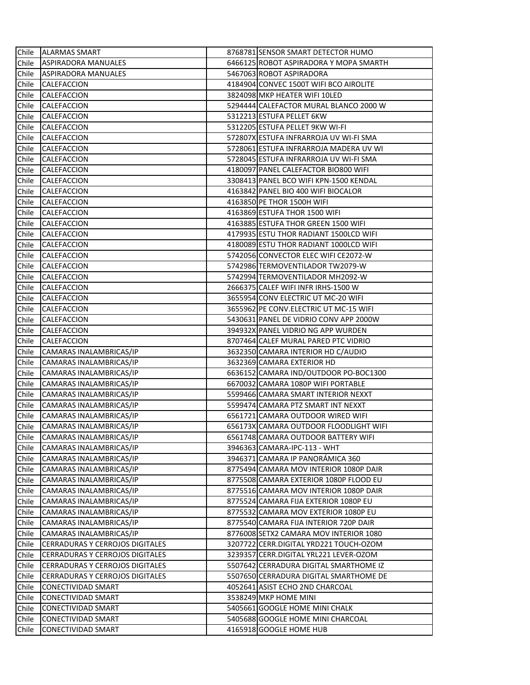| Chile | <b>ALARMAS SMART</b>                   | 8768781 SENSOR SMART DETECTOR HUMO     |
|-------|----------------------------------------|----------------------------------------|
| Chile | <b>ASPIRADORA MANUALES</b>             | 6466125 ROBOT ASPIRADORA Y MOPA SMARTH |
| Chile | ASPIRADORA MANUALES                    | 5467063 ROBOT ASPIRADORA               |
| Chile | CALEFACCION                            | 4184904 CONVEC 1500T WIFI BCO AIROLITE |
| Chile | CALEFACCION                            | 3824098 MKP HEATER WIFI 10LED          |
| Chile | CALEFACCION                            | 5294444 CALEFACTOR MURAL BLANCO 2000 W |
| Chile | CALEFACCION                            | 5312213 ESTUFA PELLET 6KW              |
| Chile | CALEFACCION                            | 5312205 ESTUFA PELLET 9KW WI-FI        |
| Chile | CALEFACCION                            | 572807X ESTUFA INFRARROJA UV WI-FI SMA |
| Chile | CALEFACCION                            | 5728061 ESTUFA INFRARROJA MADERA UV WI |
| Chile | CALEFACCION                            | 5728045 ESTUFA INFRARROJA UV WI-FI SMA |
| Chile | CALEFACCION                            | 4180097 PANEL CALEFACTOR BIO800 WIFI   |
| Chile | CALEFACCION                            | 3308413 PANEL BCO WIFI KPN-1500 KENDAL |
| Chile | CALEFACCION                            | 4163842 PANEL BIO 400 WIFI BIOCALOR    |
| Chile | CALEFACCION                            | 4163850 PE THOR 1500H WIFI             |
| Chile | CALEFACCION                            | 4163869 ESTUFA THOR 1500 WIFI          |
| Chile | CALEFACCION                            | 4163885 ESTUFA THOR GREEN 1500 WIFI    |
| Chile | CALEFACCION                            | 4179935 ESTU THOR RADIANT 1500LCD WIFI |
| Chile | CALEFACCION                            | 4180089 ESTU THOR RADIANT 1000LCD WIFI |
| Chile | CALEFACCION                            | 5742056 CONVECTOR ELEC WIFI CE2072-W   |
| Chile | CALEFACCION                            | 5742986 TERMOVENTILADOR TW2079-W       |
| Chile | CALEFACCION                            | 5742994 TERMOVENTILADOR MH2092-W       |
| Chile | CALEFACCION                            | 2666375 CALEF WIFI INFR IRHS-1500 W    |
| Chile | CALEFACCION                            | 3655954 CONV ELECTRIC UT MC-20 WIFI    |
| Chile | CALEFACCION                            | 3655962 PE CONV.ELECTRIC UT MC-15 WIFI |
| Chile | CALEFACCION                            | 5430631 PANEL DE VIDRIO CONV APP 2000W |
| Chile | CALEFACCION                            | 394932X PANEL VIDRIO NG APP WURDEN     |
| Chile | CALEFACCION                            | 8707464 CALEF MURAL PARED PTC VIDRIO   |
| Chile | CAMARAS INALAMBRICAS/IP                | 3632350 CAMARA INTERIOR HD C/AUDIO     |
| Chile | CAMARAS INALAMBRICAS/IP                | 3632369 CAMARA EXTERIOR HD             |
| Chile | CAMARAS INALAMBRICAS/IP                | 6636152 CAMARA IND/OUTDOOR PO-BOC1300  |
| Chile | CAMARAS INALAMBRICAS/IP                | 6670032 CAMARA 1080P WIFI PORTABLE     |
| Chile | CAMARAS INALAMBRICAS/IP                | 5599466 CAMARA SMART INTERIOR NEXXT    |
| Chile | CAMARAS INALAMBRICAS/IP                | 5599474 CAMARA PTZ SMART INT NEXXT     |
| Chile | CAMARAS INALAMBRICAS/IP                | 6561721 CAMARA OUTDOOR WIRED WIFI      |
| Chile | CAMARAS INALAMBRICAS/IP                | 656173X CAMARA OUTDOOR FLOODLIGHT WIFI |
| Chile | CAMARAS INALAMBRICAS/IP                | 6561748 CAMARA OUTDOOR BATTERY WIFI    |
| Chile | CAMARAS INALAMBRICAS/IP                | 3946363 CAMARA-IPC-113 - WHT           |
| Chile | CAMARAS INALAMBRICAS/IP                | 3946371 CAMARA IP PANORAMICA 360       |
| Chile | CAMARAS INALAMBRICAS/IP                | 8775494 CAMARA MOV INTERIOR 1080P DAIR |
| Chile | CAMARAS INALAMBRICAS/IP                | 8775508 CAMARA EXTERIOR 1080P FLOOD EU |
| Chile | CAMARAS INALAMBRICAS/IP                | 8775516 CAMARA MOV INTERIOR 1080P DAIR |
| Chile | CAMARAS INALAMBRICAS/IP                | 8775524 CAMARA FIJA EXTERIOR 1080P EU  |
| Chile | CAMARAS INALAMBRICAS/IP                | 8775532 CAMARA MOV EXTERIOR 1080P EU   |
| Chile | CAMARAS INALAMBRICAS/IP                | 8775540 CAMARA FIJA INTERIOR 720P DAIR |
| Chile | CAMARAS INALAMBRICAS/IP                | 8776008 SETX2 CAMARA MOV INTERIOR 1080 |
| Chile | <b>CERRADURAS Y CERROJOS DIGITALES</b> | 3207722ICERR.DIGITAL YRD221 TOUCH-OZOM |
| Chile | <b>CERRADURAS Y CERROJOS DIGITALES</b> | 3239357 CERR.DIGITAL YRL221 LEVER-OZOM |
| Chile | <b>CERRADURAS Y CERROJOS DIGITALES</b> | 5507642 CERRADURA DIGITAL SMARTHOME IZ |
| Chile | <b>CERRADURAS Y CERROJOS DIGITALES</b> | 5507650 CERRADURA DIGITAL SMARTHOME DE |
| Chile | CONECTIVIDAD SMART                     | 4052641 ASIST ECHO 2ND CHARCOAL        |
| Chile | CONECTIVIDAD SMART                     | 3538249 MKP HOME MINI                  |
| Chile | CONECTIVIDAD SMART                     | 5405661 GOOGLE HOME MINI CHALK         |
| Chile | CONECTIVIDAD SMART                     | 5405688 GOOGLE HOME MINI CHARCOAL      |
| Chile | CONECTIVIDAD SMART                     | 4165918 GOOGLE HOME HUB                |
|       |                                        |                                        |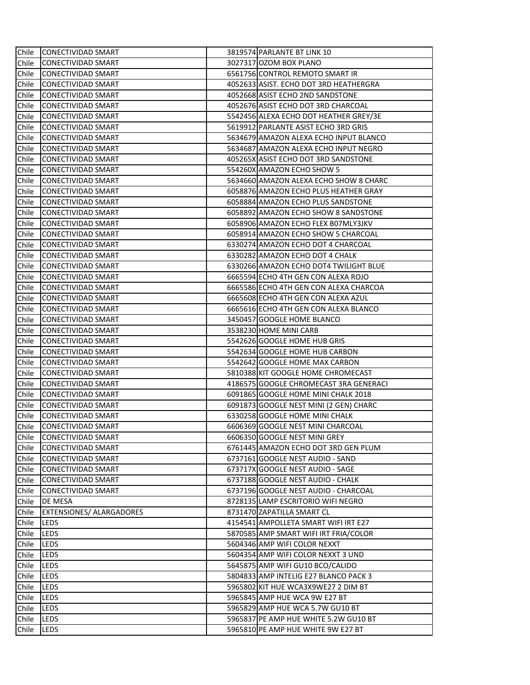| Chile | <b>CONECTIVIDAD SMART</b> | 3819574 PARLANTE BT LINK 10            |
|-------|---------------------------|----------------------------------------|
| Chile | CONECTIVIDAD SMART        | 3027317 OZOM BOX PLANO                 |
| Chile | <b>CONECTIVIDAD SMART</b> | 6561756 CONTROL REMOTO SMART IR        |
| Chile | CONECTIVIDAD SMART        | 4052633 ASIST. ECHO DOT 3RD HEATHERGRA |
| Chile | <b>CONECTIVIDAD SMART</b> | 4052668 ASIST ECHO 2ND SANDSTONE       |
| Chile | <b>CONECTIVIDAD SMART</b> | 4052676 ASIST ECHO DOT 3RD CHARCOAL    |
| Chile | <b>CONECTIVIDAD SMART</b> | 5542456 ALEXA ECHO DOT HEATHER GREY/3E |
| Chile | CONECTIVIDAD SMART        | 5619912 PARLANTE ASIST ECHO 3RD GRIS   |
| Chile | CONECTIVIDAD SMART        | 5634679 AMAZON ALEXA ECHO INPUT BLANCO |
| Chile | <b>CONECTIVIDAD SMART</b> | 5634687 AMAZON ALEXA ECHO INPUT NEGRO  |
| Chile | <b>CONECTIVIDAD SMART</b> | 405265X ASIST ECHO DOT 3RD SANDSTONE   |
| Chile | <b>CONECTIVIDAD SMART</b> | 554260X AMAZON ECHO SHOW 5             |
| Chile | CONECTIVIDAD SMART        | 5634660 AMAZON ALEXA ECHO SHOW 8 CHARC |
| Chile | <b>CONECTIVIDAD SMART</b> | 6058876 AMAZON ECHO PLUS HEATHER GRAY  |
| Chile | CONECTIVIDAD SMART        | 6058884 AMAZON ECHO PLUS SANDSTONE     |
| Chile | CONECTIVIDAD SMART        | 6058892 AMAZON ECHO SHOW 8 SANDSTONE   |
| Chile | CONECTIVIDAD SMART        | 6058906 AMAZON ECHO FLEX B07MLY3JKV    |
| Chile | <b>CONECTIVIDAD SMART</b> | 6058914 AMAZON ECHO SHOW 5 CHARCOAL    |
| Chile | CONECTIVIDAD SMART        | 6330274 AMAZON ECHO DOT 4 CHARCOAL     |
| Chile | <b>CONECTIVIDAD SMART</b> | 6330282 AMAZON ECHO DOT 4 CHALK        |
| Chile | CONECTIVIDAD SMART        | 6330266 AMAZON ECHO DOT4 TWILIGHT BLUE |
| Chile | <b>CONECTIVIDAD SMART</b> | 6665594 ECHO 4TH GEN CON ALEXA ROJO    |
| Chile | CONECTIVIDAD SMART        | 6665586 ECHO 4TH GEN CON ALEXA CHARCOA |
| Chile | CONECTIVIDAD SMART        | 6665608 ECHO 4TH GEN CON ALEXA AZUL    |
| Chile | <b>CONECTIVIDAD SMART</b> | 6665616 ECHO 4TH GEN CON ALEXA BLANCO  |
| Chile | <b>CONECTIVIDAD SMART</b> | 3450457 GOOGLE HOME BLANCO             |
| Chile | <b>CONECTIVIDAD SMART</b> | 3538230 HOME MINI CARB                 |
| Chile | CONECTIVIDAD SMART        | 5542626 GOOGLE HOME HUB GRIS           |
| Chile | CONECTIVIDAD SMART        | 5542634 GOOGLE HOME HUB CARBON         |
| Chile | CONECTIVIDAD SMART        | 5542642 GOOGLE HOME MAX CARBON         |
| Chile | CONECTIVIDAD SMART        | 5810388 KIT GOOGLE HOME CHROMECAST     |
| Chile | CONECTIVIDAD SMART        | 4186575 GOOGLE CHROMECAST 3RA GENERACI |
| Chile | CONECTIVIDAD SMART        | 6091865 GOOGLE HOME MINI CHALK 2018    |
| Chile | CONECTIVIDAD SMART        | 6091873 GOOGLE NEST MINI (2 GEN) CHARC |
| Chile | CONECTIVIDAD SMART        | 6330258 GOOGLE HOME MINI CHALK         |
| Chile | CONECTIVIDAD SMART        | 6606369 GOOGLE NEST MINI CHARCOAL      |
| Chile | CONECTIVIDAD SMART        | 6606350 GOOGLE NEST MINI GREY          |
| Chile | CONECTIVIDAD SMART        | 6761445 AMAZON ECHO DOT 3RD GEN PLUM   |
| Chile | <b>CONECTIVIDAD SMART</b> | 6737161 GOOGLE NEST AUDIO - SAND       |
| Chile | <b>CONECTIVIDAD SMART</b> | 673717X GOOGLE NEST AUDIO - SAGE       |
| Chile | CONECTIVIDAD SMART        | 6737188 GOOGLE NEST AUDIO - CHALK      |
| Chile | <b>CONECTIVIDAD SMART</b> | 6737196 GOOGLE NEST AUDIO - CHARCOAL   |
| Chile | DE MESA                   | 8728135 LAMP ESCRITORIO WIFI NEGRO     |
| Chile | EXTENSIONES/ ALARGADORES  | 8731470 ZAPATILLA SMART CL             |
| Chile | LEDS                      | 4154541 AMPOLLETA SMART WIFI IRT E27   |
| Chile | LEDS                      | 5870585 AMP SMART WIFI IRT FRIA/COLOR  |
| Chile | LEDS                      | 5604346 AMP WIFI COLOR NEXXT           |
| Chile | LEDS                      | 5604354 AMP WIFI COLOR NEXXT 3 UND     |
| Chile | LEDS                      | 5645875 AMP WIFI GU10 BCO/CALIDO       |
| Chile | LEDS                      | 5804833 AMP INTELIG E27 BLANCO PACK 3  |
| Chile | LEDS                      | 5965802 KIT HUE WCA3X9WE27 2 DIM BT    |
| Chile | LEDS                      | 5965845 AMP HUE WCA 9W E27 BT          |
| Chile | LEDS                      | 5965829 AMP HUE WCA 5.7W GU10 BT       |
| Chile | LEDS                      | 5965837 PE AMP HUE WHITE 5.2W GU10 BT  |
| Chile | LEDS                      | 5965810 PE AMP HUE WHITE 9W E27 BT     |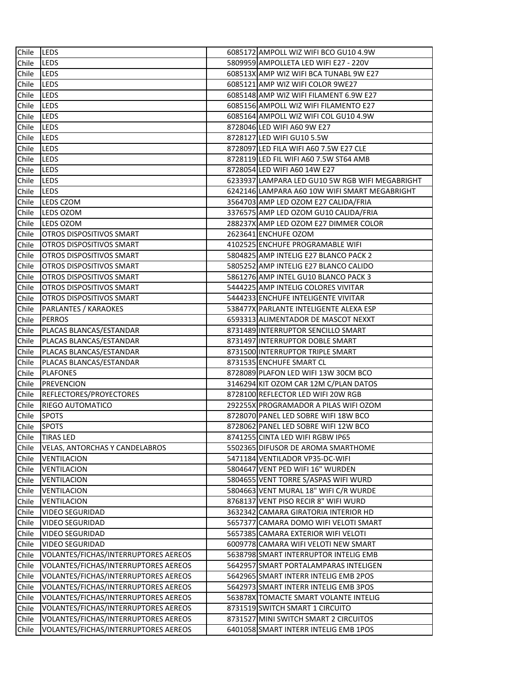| Chile | <b>ILEDS</b>                          | 6085172 AMPOLL WIZ WIFI BCO GU10 4.9W           |
|-------|---------------------------------------|-------------------------------------------------|
| Chile | <b>LEDS</b>                           | 5809959 AMPOLLETA LED WIFI E27 - 220V           |
| Chile | <b>LEDS</b>                           | 608513X AMP WIZ WIFI BCA TUNABL 9W E27          |
| Chile | LEDS                                  | 6085121 AMP WIZ WIFI COLOR 9WE27                |
| Chile | LEDS                                  | 6085148 AMP WIZ WIFI FILAMENT 6.9W E27          |
| Chile | LEDS                                  | 6085156 AMPOLL WIZ WIFI FILAMENTO E27           |
| Chile | <b>LEDS</b>                           | 6085164 AMPOLL WIZ WIFI COL GU10 4.9W           |
| Chile | <b>LEDS</b>                           | 8728046 LED WIFI A60 9W E27                     |
| Chile | <b>LEDS</b>                           | 8728127 LED WIFI GU10 5.5W                      |
| Chile | <b>LEDS</b>                           | 8728097 LED FILA WIFI A60 7.5W E27 CLE          |
| Chile | <b>LEDS</b>                           | 8728119 LED FIL WIFI A60 7.5W ST64 AMB          |
| Chile | LEDS                                  | 8728054 LED WIFI A60 14W E27                    |
| Chile | LEDS                                  | 6233937 LAMPARA LED GU10 5W RGB WIFI MEGABRIGHT |
| Chile | LEDS                                  | 6242146 LAMPARA A60 10W WIFI SMART MEGABRIGHT   |
| Chile | LEDS CZOM                             | 3564703 AMP LED OZOM E27 CALIDA/FRIA            |
| Chile | LEDS OZOM                             | 3376575 AMP LED OZOM GU10 CALIDA/FRIA           |
| Chile | LEDS OZOM                             | 288237X AMP LED OZOM E27 DIMMER COLOR           |
| Chile | <b>OTROS DISPOSITIVOS SMART</b>       | 2623641 ENCHUFE OZOM                            |
| Chile | OTROS DISPOSITIVOS SMART              | 4102525 ENCHUFE PROGRAMABLE WIFI                |
| Chile | <b>OTROS DISPOSITIVOS SMART</b>       | 5804825 AMP INTELIG E27 BLANCO PACK 2           |
| Chile | OTROS DISPOSITIVOS SMART              | 5805252 AMP INTELIG E27 BLANCO CALIDO           |
| Chile | <b>OTROS DISPOSITIVOS SMART</b>       | 5861276 AMP INTEL GU10 BLANCO PACK 3            |
| Chile | OTROS DISPOSITIVOS SMART              | 5444225 AMP INTELIG COLORES VIVITAR             |
| Chile | <b>OTROS DISPOSITIVOS SMART</b>       | 5444233 ENCHUFE INTELIGENTE VIVITAR             |
| Chile | <b>PARLANTES / KARAOKES</b>           | 538477X PARLANTE INTELIGENTE ALEXA ESP          |
| Chile | <b>PERROS</b>                         | 6593313 ALIMENTADOR DE MASCOT NEXXT             |
| Chile | PLACAS BLANCAS/ESTANDAR               | 8731489 INTERRUPTOR SENCILLO SMART              |
| Chile | PLACAS BLANCAS/ESTANDAR               | 8731497 INTERRUPTOR DOBLE SMART                 |
| Chile | PLACAS BLANCAS/ESTANDAR               | 8731500 INTERRUPTOR TRIPLE SMART                |
| Chile | PLACAS BLANCAS/ESTANDAR               | 8731535 ENCHUFE SMART CL                        |
| Chile | <b>PLAFONES</b>                       | 8728089 PLAFON LED WIFI 13W 30CM BCO            |
| Chile | <b>PREVENCION</b>                     | 3146294 KIT OZOM CAR 12M C/PLAN DATOS           |
| Chile | REFLECTORES/PROYECTORES               | 8728100 REFLECTOR LED WIFI 20W RGB              |
| Chile | RIEGO AUTOMATICO                      | 292255X PROGRAMADOR A PILAS WIFI OZOM           |
| Chile | <b>SPOTS</b>                          | 8728070 PANEL LED SOBRE WIFI 18W BCO            |
| Chile | <b>SPOTS</b>                          | 8728062 PANEL LED SOBRE WIFI 12W BCO            |
| Chile | TIRAS LED                             | 8741255 CINTA LED WIFI RGBW IP65                |
| Chile | <b>VELAS, ANTORCHAS Y CANDELABROS</b> | 5502365 DIFUSOR DE AROMA SMARTHOME              |
| Chile | VENTILACION                           | 5471184 VENTILADOR VP35-DC-WIFI                 |
| Chile | VENTILACION                           | 5804647 VENT PED WIFI 16" WURDEN                |
| Chile | VENTILACION                           | 5804655 VENT TORRE S/ASPAS WIFI WURD            |
| Chile | VENTILACION                           | 5804663 VENT MURAL 18" WIFI C/R WURDE           |
| Chile | VENTILACION                           | 8768137 VENT PISO RECIR 8" WIFI WURD            |
| Chile | <b>VIDEO SEGURIDAD</b>                | 3632342 CAMARA GIRATORIA INTERIOR HD            |
| Chile | VIDEO SEGURIDAD                       | 5657377 CAMARA DOMO WIFI VELOTI SMART           |
| Chile | VIDEO SEGURIDAD                       | 5657385 CAMARA EXTERIOR WIFI VELOTI             |
| Chile | VIDEO SEGURIDAD                       | 6009778 CAMARA WIFI VELOTI NEW SMART            |
| Chile | VOLANTES/FICHAS/INTERRUPTORES AEREOS  | 5638798 SMART INTERRUPTOR INTELIG EMB           |
| Chile | VOLANTES/FICHAS/INTERRUPTORES AEREOS  | 5642957 SMART PORTALAMPARAS INTELIGEN           |
| Chile | VOLANTES/FICHAS/INTERRUPTORES AEREOS  | 5642965 SMART INTERR INTELIG EMB 2POS           |
| Chile | VOLANTES/FICHAS/INTERRUPTORES AEREOS  | 5642973 SMART INTERR INTELIG EMB 3POS           |
| Chile | VOLANTES/FICHAS/INTERRUPTORES AEREOS  | 563878X TOMACTE SMART VOLANTE INTELIG           |
| Chile | VOLANTES/FICHAS/INTERRUPTORES AEREOS  | 8731519 SWITCH SMART 1 CIRCUITO                 |
| Chile | VOLANTES/FICHAS/INTERRUPTORES AEREOS  | 8731527 MINI SWITCH SMART 2 CIRCUITOS           |
| Chile | VOLANTES/FICHAS/INTERRUPTORES AEREOS  | 6401058 SMART INTERR INTELIG EMB 1POS           |